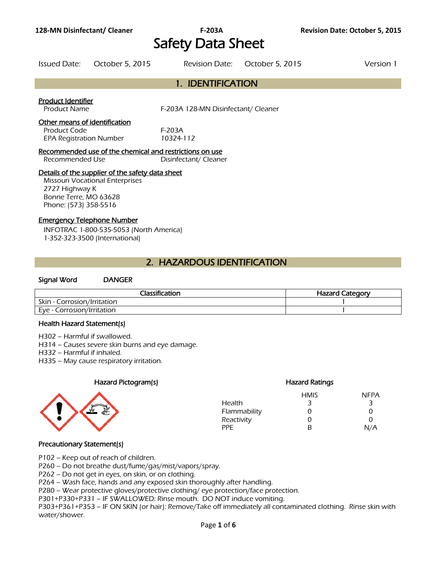# **128-MN Disinfectant/ Cleaner F-203A Revision Date: October 5, 2015** Safety Data Sheet

|                                                                                                                                                                | Issued Date: October 5, 2015 |                                               | Revision Date: October 5, 2015 | Version 1 |
|----------------------------------------------------------------------------------------------------------------------------------------------------------------|------------------------------|-----------------------------------------------|--------------------------------|-----------|
|                                                                                                                                                                |                              | 1. IDENTIFICATION                             |                                |           |
| <b>Product Identifier</b><br><b>Product Name</b><br>Other means of identification<br>Product Code                                                              |                              | F-203A 128-MN Disinfectant/ Cleaner<br>F-203A |                                |           |
| 10324-112<br><b>EPA Registration Number</b><br>Recommended use of the chemical and restrictions on use<br>Recommended Use<br>Disinfectant/Cleaner              |                              |                                               |                                |           |
| Details of the supplier of the safety data sheet<br><b>Missouri Vocational Enterprises</b><br>2727 Highway K<br>Bonne Terre, MO 63628<br>Phone: (573) 358-5516 |                              |                                               |                                |           |
| <b>Emergency Telephone Number</b><br>INFOTRAC 1-800-535-5053 (North America)<br>1-352-323-3500 (International)                                                 |                              |                                               |                                |           |
| 2. HAZARDOUS IDENTIFICATION                                                                                                                                    |                              |                                               |                                |           |

## Signal Word DANGER

| <b>Classification</b>       | <b>Hazard Category</b> |
|-----------------------------|------------------------|
| Skin - Corrosion/Irritation |                        |
| Eve - Corrosion/Irritation  |                        |
|                             |                        |

#### Health Hazard Statement(s)

H302 – Harmful if swallowed.

H314 – Causes severe skin burns and eye damage.

H332 – Harmful if inhaled.

H335 – May cause respiratory irritation.

### Hazard Pictogram(s) extending the Hazard Ratings Hazard Ratings



## HMIS NFPA Health 3 3 3 Flammability 0 0 0 Reactivity 0 0 0 PPE B N/A

## Precautionary Statement(s)

P102 – Keep out of reach of children.

P260 – Do not breathe dust/fume/gas/mist/vapors/spray.

P262 – Do not get in eyes, on skin, or on clothing.

P264 – Wash face, hands and any exposed skin thoroughly after handling.

P280 – Wear protective gloves/protective clothing/ eye protection/face protection.

P301+P330+P331 – IF SWALLOWED: Rinse mouth. DO NOT induce vomiting.

P303+P361+P353 – IF ON SKIN (or hair): Remove/Take off immediately all contaminated clothing. Rinse skin with water/shower.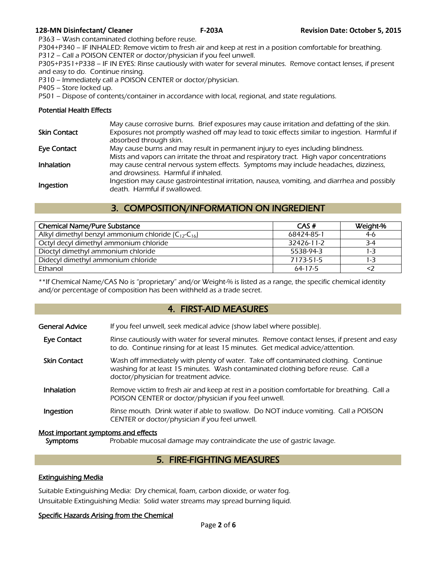P363 – Wash contaminated clothing before reuse.

P304+P340 – IF INHALED: Remove victim to fresh air and keep at rest in a position comfortable for breathing. P312 – Call a POISON CENTER or doctor/physician if you feel unwell.

P305+P351+P338 – IF IN EYES: Rinse cautiously with water for several minutes. Remove contact lenses, if present and easy to do. Continue rinsing.

P310 – Immediately call a POISON CENTER or doctor/physician.

P405 – Store locked up.

P501 – Dispose of contents/container in accordance with local, regional, and state regulations.

## Potential Health Effects

| <b>Skin Contact</b> | May cause corrosive burns. Brief exposures may cause irritation and defatting of the skin.<br>Exposures not promptly washed off may lead to toxic effects similar to ingestion. Harmful if<br>absorbed through skin. |
|---------------------|----------------------------------------------------------------------------------------------------------------------------------------------------------------------------------------------------------------------|
| <b>Eye Contact</b>  | May cause burns and may result in permanent injury to eyes including blindness.                                                                                                                                      |
| Inhalation          | Mists and vapors can irritate the throat and respiratory tract. High vapor concentrations<br>may cause central nervous system effects. Symptoms may include headaches, dizziness,                                    |
|                     | and drowsiness. Harmful if inhaled.                                                                                                                                                                                  |
| Ingestion           | Ingestion may cause gastrointestinal irritation, nausea, vomiting, and diarrhea and possibly<br>death. Harmful if swallowed.                                                                                         |

## 3. COMPOSITION/INFORMATION ON INGREDIENT

| <b>Chemical Name/Pure Substance</b>                       | CAS#          | Weight-% |
|-----------------------------------------------------------|---------------|----------|
| Alkyl dimethyl benzyl ammonium chloride $(C_{12}-C_{16})$ | 68424-85-1    | $4-6$    |
| Octyl decyl dimethyl ammonium chloride                    | 32426-11-2    | $3-4$    |
| Dioctyl dimethyl ammonium chloride                        | 5538-94-3     | $1 - 3$  |
| Didecyl dimethyl ammonium chloride                        | 7173-51-5     | 1-3      |
| Ethanol                                                   | $64 - 17 - 5$ |          |
|                                                           |               |          |

\*\*If Chemical Name/CAS No is "proprietary" and/or Weight-% is listed as a range, the specific chemical identity and/or percentage of composition has been withheld as a trade secret.

## 4. FIRST-AID MEASURES

- Eye Contact Rinse cautiously with water for several minutes. Remove contact lenses, if present and easy to do. Continue rinsing for at least 15 minutes. Get medical advice/attention.
- Skin Contact Wash off immediately with plenty of water. Take off contaminated clothing. Continue washing for at least 15 minutes. Wash contaminated clothing before reuse. Call a doctor/physician for treatment advice.
- **Inhalation** Remove victim to fresh air and keep at rest in a position comfortable for breathing. Call a POISON CENTER or doctor/physician if you feel unwell.
- **Ingestion** Rinse mouth. Drink water if able to swallow. Do NOT induce vomiting. Call a POISON CENTER or doctor/physician if you feel unwell.

## Most important symptoms and effects

Symptoms Probable mucosal damage may contraindicate the use of gastric lavage.

## 5. FIRE-FIGHTING MEASURES

## Extinguishing Media

Suitable Extinguishing Media: Dry chemical, foam, carbon dioxide, or water fog. Unsuitable Extinguishing Media: Solid water streams may spread burning liquid.

## Specific Hazards Arising from the Chemical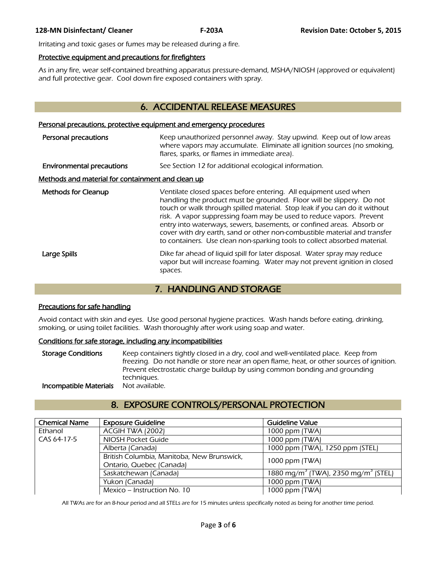Irritating and toxic gases or fumes may be released during a fire.

### Protective equipment and precautions for firefighters

As in any fire, wear self-contained breathing apparatus pressure-demand, MSHA/NIOSH (approved or equivalent) and full protective gear. Cool down fire exposed containers with spray.

## 6. ACCIDENTAL RELEASE MEASURES

#### Personal precautions, protective equipment and emergency procedures

| Personal precautions                              | Keep unauthorized personnel away. Stay upwind. Keep out of low areas<br>where vapors may accumulate. Eliminate all ignition sources (no smoking,<br>flares, sparks, or flames in immediate area).                                                                                                                                                                                                                                                                                                                                  |  |
|---------------------------------------------------|------------------------------------------------------------------------------------------------------------------------------------------------------------------------------------------------------------------------------------------------------------------------------------------------------------------------------------------------------------------------------------------------------------------------------------------------------------------------------------------------------------------------------------|--|
| <b>Environmental precautions</b>                  | See Section 12 for additional ecological information.                                                                                                                                                                                                                                                                                                                                                                                                                                                                              |  |
| Methods and material for containment and clean up |                                                                                                                                                                                                                                                                                                                                                                                                                                                                                                                                    |  |
| <b>Methods for Cleanup</b>                        | Ventilate closed spaces before entering. All equipment used when<br>handling the product must be grounded. Floor will be slippery. Do not<br>touch or walk through spilled material. Stop leak if you can do it without<br>risk. A vapor suppressing foam may be used to reduce vapors. Prevent<br>entry into waterways, sewers, basements, or confined areas. Absorb or<br>cover with dry earth, sand or other non-combustible material and transfer<br>to containers. Use clean non-sparking tools to collect absorbed material. |  |
| Large Spills                                      | Dike far ahead of liquid spill for later disposal. Water spray may reduce<br>vapor but will increase foaming. Water may not prevent ignition in closed<br>spaces.                                                                                                                                                                                                                                                                                                                                                                  |  |

## 7. HANDLING AND STORAGE

## Precautions for safe handling

Avoid contact with skin and eyes. Use good personal hygiene practices. Wash hands before eating, drinking, smoking, or using toilet facilities. Wash thoroughly after work using soap and water.

## Conditions for safe storage, including any incompatibilities

Storage Conditions Keep containers tightly closed in a dry, cool and well-ventilated place. Keep from freezing. Do not handle or store near an open flame, heat, or other sources of ignition. Prevent electrostatic charge buildup by using common bonding and grounding techniques.<br>Not available. **Incompatible Materials** 

## 8. EXPOSURE CONTROLS/PERSONAL PROTECTION

| <b>Chemical Name</b> | <b>Exposure Guideline</b>                  | Guideline Value                                             |
|----------------------|--------------------------------------------|-------------------------------------------------------------|
| Ethanol              | ACGIH TWA (2002)                           | 1000 ppm (TWA)                                              |
| CAS 64-17-5          | NIOSH Pocket Guide                         | 1000 ppm (TWA)                                              |
|                      | Alberta (Canada)                           | 1000 ppm (TWA), 1250 ppm (STEL)                             |
|                      | British Columbia, Manitoba, New Brunswick, | 1000 ppm (TWA)                                              |
|                      | Ontario, Quebec (Canada)                   |                                                             |
|                      | Saskatchewan (Canada)                      | 1880 mg/m <sup>3</sup> (TWA), 2350 mg/m <sup>3</sup> (STEL) |
|                      | Yukon (Canada)                             | 1000 ppm (TWA)                                              |
|                      | Mexico – Instruction No. 10                | 1000 ppm (TWA)                                              |
|                      |                                            |                                                             |

All TWAs are for an 8-hour period and all STELs are for 15 minutes unless specifically noted as being for another time period.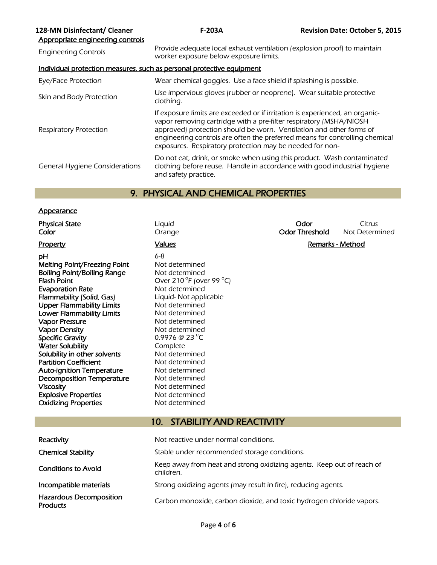| 128-MN Disinfectant/ Cleaner<br>Appropriate engineering controls | $F-203A$                                                                                                                                                                                                                                                                                                                                                             | <b>Revision Date: October 5, 2015</b> |
|------------------------------------------------------------------|----------------------------------------------------------------------------------------------------------------------------------------------------------------------------------------------------------------------------------------------------------------------------------------------------------------------------------------------------------------------|---------------------------------------|
| <b>Engineering Controls</b>                                      | Provide adequate local exhaust ventilation (explosion proof) to maintain<br>worker exposure below exposure limits.                                                                                                                                                                                                                                                   |                                       |
|                                                                  | Individual protection measures, such as personal protective equipment                                                                                                                                                                                                                                                                                                |                                       |
| Eye/Face Protection                                              | Wear chemical goggles. Use a face shield if splashing is possible.                                                                                                                                                                                                                                                                                                   |                                       |
| Skin and Body Protection                                         | Use impervious gloves (rubber or neoprene). Wear suitable protective<br>clothing.                                                                                                                                                                                                                                                                                    |                                       |
| <b>Respiratory Protection</b>                                    | If exposure limits are exceeded or if irritation is experienced, an organic-<br>vapor removing cartridge with a pre-filter respiratory (MSHA/NIOSH<br>approved) protection should be worn. Ventilation and other forms of<br>engineering controls are often the preferred means for controlling chemical<br>exposures. Respiratory protection may be needed for non- |                                       |
| General Hygiene Considerations                                   | Do not eat, drink, or smoke when using this product. Wash contaminated<br>clothing before reuse. Handle in accordance with good industrial hygiene<br>and safety practice.                                                                                                                                                                                           |                                       |

## 9. PHYSICAL AND CHEMICAL PROPERTIES

## **Appearance**

| Priysical State                    | Liyulu                                                        |
|------------------------------------|---------------------------------------------------------------|
| Color                              | Orange                                                        |
| <u>Property</u>                    | <b>Values</b>                                                 |
| pН                                 | 6-8                                                           |
| Melting Point/Freezing Point       | Not determined                                                |
| <b>Boiling Point/Boiling Range</b> | Not determined                                                |
| Flash Point                        | Over 210 $\mathrm{^{\circ}F}$ (over 99 $\mathrm{^{\circ}C}$ ) |
| <b>Evaporation Rate</b>            | Not determined                                                |
| Flammability (Solid, Gas)          | Liquid- Not applicable                                        |
| <b>Upper Flammability Limits</b>   | Not determined                                                |
| <b>Lower Flammability Limits</b>   | Not determined                                                |
| <b>Vapor Pressure</b>              | Not determined                                                |
| <b>Vapor Density</b>               | Not determined                                                |
| <b>Specific Gravity</b>            | 0.9976 @ 23 $^0$ C                                            |
| <b>Water Solubility</b>            | Complete                                                      |
| Solubility in other solvents       | Not determined                                                |
| Partition Coefficient              | Not determined                                                |
| <b>Auto-ignition Temperature</b>   | Not determined                                                |
| <b>Decomposition Temperature</b>   | Not determined                                                |
| <b>Viscosity</b>                   | Not determined                                                |
| <b>Explosive Properties</b>        | Not determined                                                |
| <b>Oxidizing Properties</b>        | Not determined                                                |
|                                    |                                                               |

| Liquid |  |
|--------|--|
| Orange |  |

**Physical State Liquid Constanting Citrus Constanting Citrus** Citrus Citrus Citrus Citrus Citrus Citrus Citrus Color **Color Color Color Color Color Color Color Color Not Determined Color Color Color Color Color Color Color Color Color Color Color Color Color Color Color Color Color Color Co** 

## **Values Contract Contract Contract Contract Contract Contract Contract Contract Contract Contract Contract Contract Contract Contract Contract Contract Contract Contract Contract Contract Contract Contract Contract Contr**

## 10. STABILITY AND REACTIVITY

| Reactivity                                        | Not reactive under normal conditions.                                              |
|---------------------------------------------------|------------------------------------------------------------------------------------|
| <b>Chemical Stability</b>                         | Stable under recommended storage conditions.                                       |
| <b>Conditions to Avoid</b>                        | Keep away from heat and strong oxidizing agents. Keep out of reach of<br>children. |
| Incompatible materials                            | Strong oxidizing agents (may result in fire), reducing agents.                     |
| <b>Hazardous Decomposition</b><br><b>Products</b> | Carbon monoxide, carbon dioxide, and toxic hydrogen chloride vapors.               |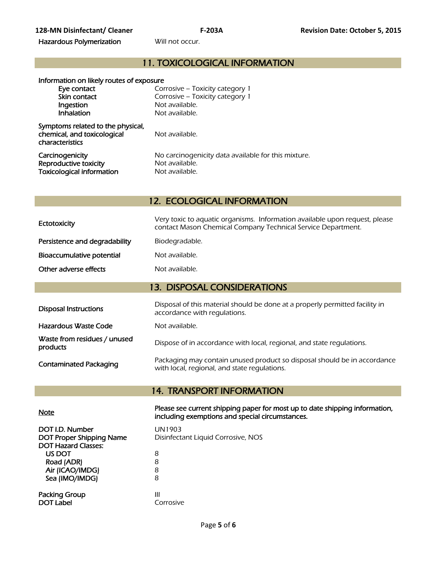## 11. TOXICOLOGICAL INFORMATION

| Information on likely routes of exposure                                            |                                                     |
|-------------------------------------------------------------------------------------|-----------------------------------------------------|
| Eye contact                                                                         | Corrosive – Toxicity category 1                     |
| Skin contact                                                                        | Corrosive - Toxicity category 1                     |
| Ingestion                                                                           | Not available.                                      |
| Inhalation                                                                          | Not available.                                      |
| Symptoms related to the physical,<br>chemical, and toxicological<br>characteristics | Not available.                                      |
| Carcinogenicity                                                                     | No carcinogenicity data available for this mixture. |
| Reproductive toxicity                                                               | Not available.                                      |
| <b>Toxicological information</b>                                                    | Not available.                                      |

12. ECOLOGICAL INFORMATION

| Ectotoxicity                  | Very toxic to aquatic organisms. Information available upon request, please<br>contact Mason Chemical Company Technical Service Department. |
|-------------------------------|---------------------------------------------------------------------------------------------------------------------------------------------|
| Persistence and degradability | Biodegradable.                                                                                                                              |
| Bioaccumulative potential     | Not available.                                                                                                                              |
| Other adverse effects         | Not available.                                                                                                                              |
| 13. DISPOSAL CONSIDERATIONS   |                                                                                                                                             |

| <b>Disposal Instructions</b>             | Disposal of this material should be done at a properly permitted facility in<br>accordance with regulations.             |  |
|------------------------------------------|--------------------------------------------------------------------------------------------------------------------------|--|
| Hazardous Waste Code                     | Not available.                                                                                                           |  |
| Waste from residues / unused<br>products | Dispose of in accordance with local, regional, and state regulations.                                                    |  |
| <b>Contaminated Packaging</b>            | Packaging may contain unused product so disposal should be in accordance<br>with local, regional, and state regulations. |  |

## 14. TRANSPORT INFORMATION

| <u>Note</u> | Please see current shipping paper for most up to date shipping information, |
|-------------|-----------------------------------------------------------------------------|
|             | including exemptions and special circumstances.                             |

| DOT I.D. Number<br><b>DOT Proper Shipping Name</b><br><b>DOT Hazard Classes:</b> | UN1903<br>Disinfectant Liquid Corrosive, NOS |
|----------------------------------------------------------------------------------|----------------------------------------------|
| US DOT                                                                           | 8                                            |
| Road (ADR)                                                                       | 8                                            |
| Air (ICAO/IMDG)                                                                  | 8                                            |
| Sea (IMO/IMDG)                                                                   | 8                                            |
| Packing Group<br><b>DOT Label</b>                                                | Ш<br>Corrosive                               |